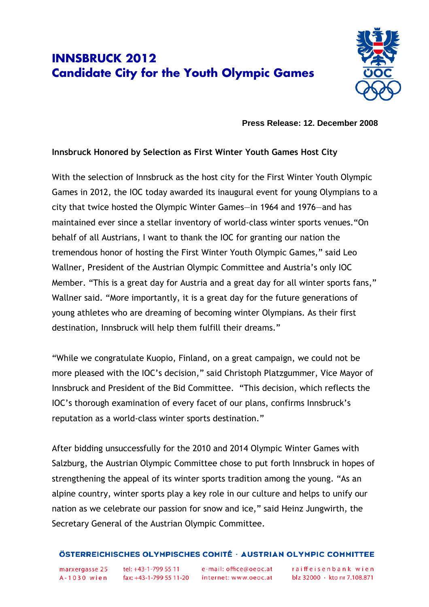## **INNSBRUCK 2012 Candidate City for the Youth Olympic Games**



**Press Release: 12. December 2008** 

## **Innsbruck Honored by Selection as First Winter Youth Games Host City**

With the selection of Innsbruck as the host city for the First Winter Youth Olympic Games in 2012, the IOC today awarded its inaugural event for young Olympians to a city that twice hosted the Olympic Winter Games—in 1964 and 1976—and has maintained ever since a stellar inventory of world-class winter sports venues."On behalf of all Austrians, I want to thank the IOC for granting our nation the tremendous honor of hosting the First Winter Youth Olympic Games," said Leo Wallner, President of the Austrian Olympic Committee and Austria's only IOC Member. "This is a great day for Austria and a great day for all winter sports fans," Wallner said. "More importantly, it is a great day for the future generations of young athletes who are dreaming of becoming winter Olympians. As their first destination, Innsbruck will help them fulfill their dreams."

"While we congratulate Kuopio, Finland, on a great campaign, we could not be more pleased with the IOC's decision," said Christoph Platzgummer, Vice Mayor of Innsbruck and President of the Bid Committee. "This decision, which reflects the IOC's thorough examination of every facet of our plans, confirms Innsbruck's reputation as a world-class winter sports destination."

After bidding unsuccessfully for the 2010 and 2014 Olympic Winter Games with Salzburg, the Austrian Olympic Committee chose to put forth Innsbruck in hopes of strengthening the appeal of its winter sports tradition among the young. "As an alpine country, winter sports play a key role in our culture and helps to unify our nation as we celebrate our passion for snow and ice," said Heinz Jungwirth, the Secretary General of the Austrian Olympic Committee.

## ÖSTERREICHISCHES OLYMPISCHES COMITÉ · AUSTRIAN OLYMPIC COMMITTEE

marxergasse 25

tel: +43-1-799 55 11 A-1030 wien fax: +43-1-799 55 11-20 internet: www.oeoc.at

e-mail: office@oeoc.at

raiffeisenbank wien blz 32000 · kto nr 7.108.871